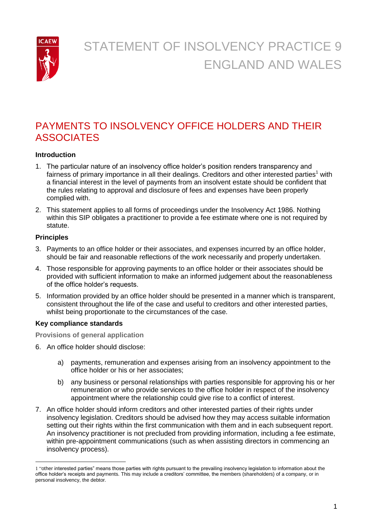

# PAYMENTS TO INSOLVENCY OFFICE HOLDERS AND THEIR **ASSOCIATES**

# **Introduction**

- 1. The particular nature of an insolvency office holder's position renders transparency and fairness of primary importance in all their dealings. Creditors and other interested parties<sup>1</sup> with a financial interest in the level of payments from an insolvent estate should be confident that the rules relating to approval and disclosure of fees and expenses have been properly complied with.
- 2. This statement applies to all forms of proceedings under the Insolvency Act 1986. Nothing within this SIP obligates a practitioner to provide a fee estimate where one is not required by statute.

# **Principles**

- 3. Payments to an office holder or their associates, and expenses incurred by an office holder, should be fair and reasonable reflections of the work necessarily and properly undertaken.
- 4. Those responsible for approving payments to an office holder or their associates should be provided with sufficient information to make an informed judgement about the reasonableness of the office holder's requests.
- 5. Information provided by an office holder should be presented in a manner which is transparent, consistent throughout the life of the case and useful to creditors and other interested parties, whilst being proportionate to the circumstances of the case.

## **Key compliance standards**

**Provisions of general application** 

- 6. An office holder should disclose:
	- a) payments, remuneration and expenses arising from an insolvency appointment to the office holder or his or her associates;
	- b) any business or personal relationships with parties responsible for approving his or her remuneration or who provide services to the office holder in respect of the insolvency appointment where the relationship could give rise to a conflict of interest.
- 7. An office holder should inform creditors and other interested parties of their rights under insolvency legislation. Creditors should be advised how they may access suitable information setting out their rights within the first communication with them and in each subsequent report. An insolvency practitioner is not precluded from providing information, including a fee estimate, within pre-appointment communications (such as when assisting directors in commencing an insolvency process).

<sup>1</sup> 1 "other interested parties" means those parties with rights pursuant to the prevailing insolvency legislation to information about the office holder's receipts and payments. This may include a creditors' committee, the members (shareholders) of a company, or in personal insolvency, the debtor.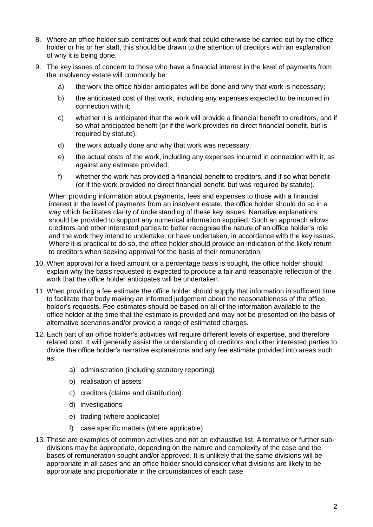- 8. Where an office holder sub-contracts out work that could otherwise be carried out by the office holder or his or her staff, this should be drawn to the attention of creditors with an explanation of why it is being done.
- 9. The key issues of concern to those who have a financial interest in the level of payments from the insolvency estate will commonly be:
	- a) the work the office holder anticipates will be done and why that work is necessary;
	- b) the anticipated cost of that work, including any expenses expected to be incurred in connection with it;
	- c) whether it is anticipated that the work will provide a financial benefit to creditors, and if so what anticipated benefit (or if the work provides no direct financial benefit, but is required by statute);
	- d) the work actually done and why that work was necessary;
	- e) the actual costs of the work, including any expenses incurred in connection with it, as against any estimate provided;
	- f) whether the work has provided a financial benefit to creditors, and if so what benefit (or if the work provided no direct financial benefit, but was required by statute).

When providing information about payments, fees and expenses to those with a financial interest in the level of payments from an insolvent estate, the office holder should do so in a way which facilitates clarity of understanding of these key issues. Narrative explanations should be provided to support any numerical information supplied. Such an approach allows creditors and other interested parties to better recognise the nature of an office holder's role and the work they intend to undertake, or have undertaken, in accordance with the key issues. Where it is practical to do so, the office holder should provide an indication of the likely return to creditors when seeking approval for the basis of their remuneration.

- 10. When approval for a fixed amount or a percentage basis is sought, the office holder should explain why the basis requested is expected to produce a fair and reasonable reflection of the work that the office holder anticipates will be undertaken.
- 11. When providing a fee estimate the office holder should supply that information in sufficient time to facilitate that body making an informed judgement about the reasonableness of the office holder's requests. Fee estimates should be based on all of the information available to the office holder at the time that the estimate is provided and may not be presented on the basis of alternative scenarios and/or provide a range of estimated charges.
- 12. Each part of an office holder's activities will require different levels of expertise, and therefore related cost. It will generally assist the understanding of creditors and other interested parties to divide the office holder's narrative explanations and any fee estimate provided into areas such as:
	- a) administration (including statutory reporting)
	- b) realisation of assets
	- c) creditors (claims and distribution)
	- d) investigations
	- e) trading (where applicable)
	- f) case specific matters (where applicable).
- 13. These are examples of common activities and not an exhaustive list. Alternative or further subdivisions may be appropriate, depending on the nature and complexity of the case and the bases of remuneration sought and/or approved. It is unlikely that the same divisions will be appropriate in all cases and an office holder should consider what divisions are likely to be appropriate and proportionate in the circumstances of each case.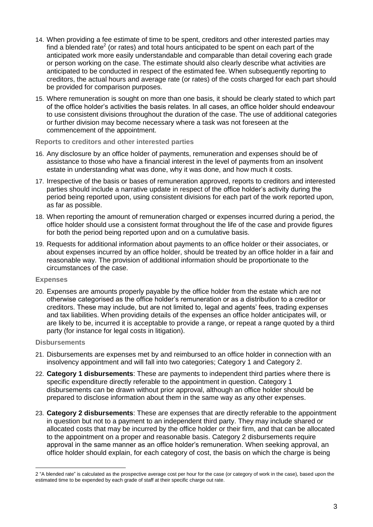- 14. When providing a fee estimate of time to be spent, creditors and other interested parties may find a blended rate<sup>2</sup> (or rates) and total hours anticipated to be spent on each part of the anticipated work more easily understandable and comparable than detail covering each grade or person working on the case. The estimate should also clearly describe what activities are anticipated to be conducted in respect of the estimated fee. When subsequently reporting to creditors, the actual hours and average rate (or rates) of the costs charged for each part should be provided for comparison purposes.
- 15. Where remuneration is sought on more than one basis, it should be clearly stated to which part of the office holder's activities the basis relates. In all cases, an office holder should endeavour to use consistent divisions throughout the duration of the case. The use of additional categories or further division may become necessary where a task was not foreseen at the commencement of the appointment.

#### **Reports to creditors and other interested parties**

- 16. Any disclosure by an office holder of payments, remuneration and expenses should be of assistance to those who have a financial interest in the level of payments from an insolvent estate in understanding what was done, why it was done, and how much it costs.
- 17. Irrespective of the basis or bases of remuneration approved, reports to creditors and interested parties should include a narrative update in respect of the office holder's activity during the period being reported upon, using consistent divisions for each part of the work reported upon, as far as possible.
- 18. When reporting the amount of remuneration charged or expenses incurred during a period, the office holder should use a consistent format throughout the life of the case and provide figures for both the period being reported upon and on a cumulative basis.
- 19. Requests for additional information about payments to an office holder or their associates, or about expenses incurred by an office holder, should be treated by an office holder in a fair and reasonable way. The provision of additional information should be proportionate to the circumstances of the case.

## **Expenses**

20. Expenses are amounts properly payable by the office holder from the estate which are not otherwise categorised as the office holder's remuneration or as a distribution to a creditor or creditors. These may include, but are not limited to, legal and agents' fees, trading expenses and tax liabilities. When providing details of the expenses an office holder anticipates will, or are likely to be, incurred it is acceptable to provide a range, or repeat a range quoted by a third party (for instance for legal costs in litigation).

## **Disbursements**

- 21. Disbursements are expenses met by and reimbursed to an office holder in connection with an insolvency appointment and will fall into two categories; Category 1 and Category 2.
- 22. **Category 1 disbursements**: These are payments to independent third parties where there is specific expenditure directly referable to the appointment in question. Category 1 disbursements can be drawn without prior approval, although an office holder should be prepared to disclose information about them in the same way as any other expenses.
- 23. **Category 2 disbursements**: These are expenses that are directly referable to the appointment in question but not to a payment to an independent third party. They may include shared or allocated costs that may be incurred by the office holder or their firm, and that can be allocated to the appointment on a proper and reasonable basis. Category 2 disbursements require approval in the same manner as an office holder's remuneration. When seeking approval, an office holder should explain, for each category of cost, the basis on which the charge is being

<sup>1</sup> 2 "A blended rate" is calculated as the prospective average cost per hour for the case (or category of work in the case), based upon the estimated time to be expended by each grade of staff at their specific charge out rate.